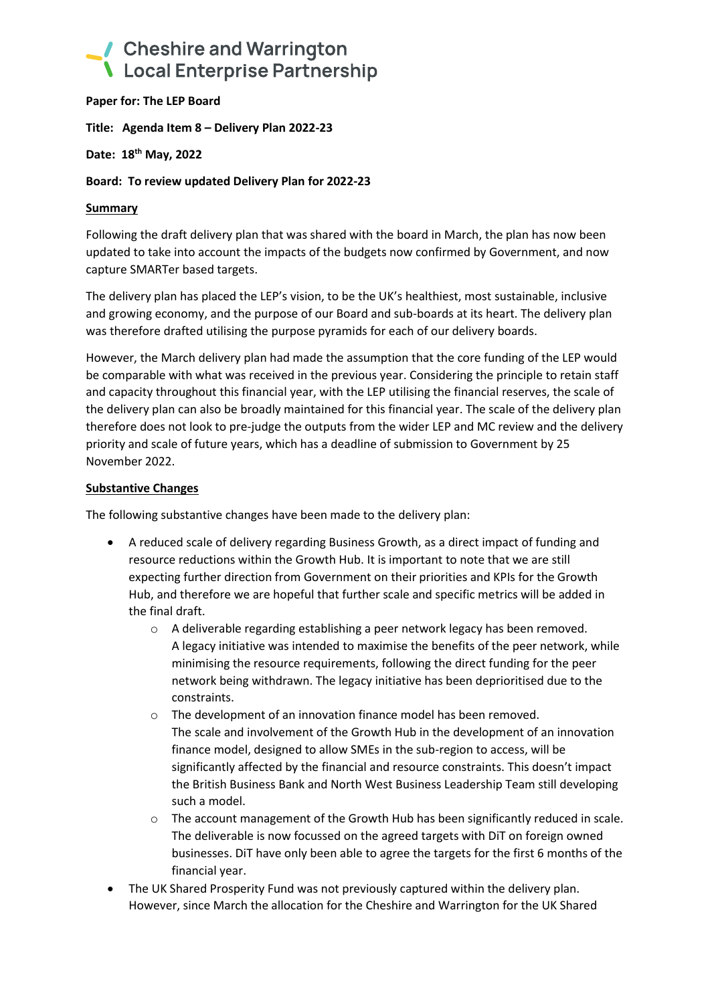# Cheshire and Warrington **\** Local Enterprise Partnership

**Paper for: The LEP Board**

**Title: Agenda Item 8 – Delivery Plan 2022-23**

**Date: 18 th May, 2022**

## **Board: To review updated Delivery Plan for 2022-23**

#### **Summary**

Following the draft delivery plan that was shared with the board in March, the plan has now been updated to take into account the impacts of the budgets now confirmed by Government, and now capture SMARTer based targets.

The delivery plan has placed the LEP's vision, to be the UK's healthiest, most sustainable, inclusive and growing economy, and the purpose of our Board and sub-boards at its heart. The delivery plan was therefore drafted utilising the purpose pyramids for each of our delivery boards.

However, the March delivery plan had made the assumption that the core funding of the LEP would be comparable with what was received in the previous year. Considering the principle to retain staff and capacity throughout this financial year, with the LEP utilising the financial reserves, the scale of the delivery plan can also be broadly maintained for this financial year. The scale of the delivery plan therefore does not look to pre-judge the outputs from the wider LEP and MC review and the delivery priority and scale of future years, which has a deadline of submission to Government by 25 November 2022.

## **Substantive Changes**

The following substantive changes have been made to the delivery plan:

- A reduced scale of delivery regarding Business Growth, as a direct impact of funding and resource reductions within the Growth Hub. It is important to note that we are still expecting further direction from Government on their priorities and KPIs for the Growth Hub, and therefore we are hopeful that further scale and specific metrics will be added in the final draft.
	- o A deliverable regarding establishing a peer network legacy has been removed. A legacy initiative was intended to maximise the benefits of the peer network, while minimising the resource requirements, following the direct funding for the peer network being withdrawn. The legacy initiative has been deprioritised due to the constraints.
	- o The development of an innovation finance model has been removed. The scale and involvement of the Growth Hub in the development of an innovation finance model, designed to allow SMEs in the sub-region to access, will be significantly affected by the financial and resource constraints. This doesn't impact the British Business Bank and North West Business Leadership Team still developing such a model.
	- $\circ$  The account management of the Growth Hub has been significantly reduced in scale. The deliverable is now focussed on the agreed targets with DiT on foreign owned businesses. DiT have only been able to agree the targets for the first 6 months of the financial year.
- The UK Shared Prosperity Fund was not previously captured within the delivery plan. However, since March the allocation for the Cheshire and Warrington for the UK Shared